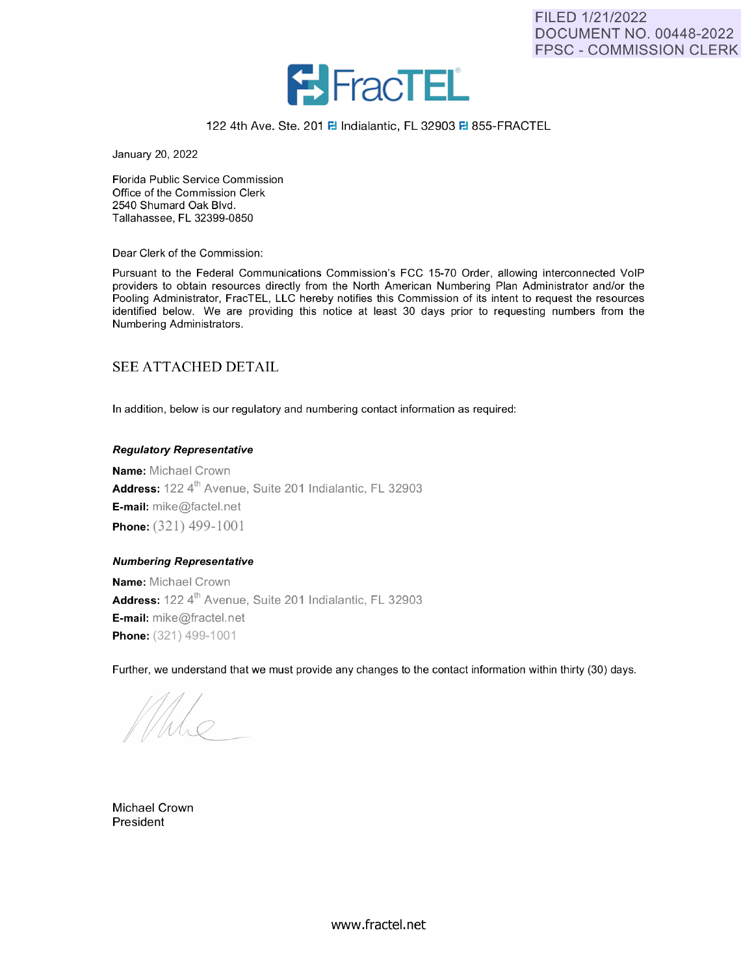

### 122 4th Ave. Ste. 201 **8** Indialantic, FL 32903 **8** 855-FRACTEL

January 20, 2022

Florida Public Service Commission Office of the Commission Clerk 2540 Shumard Oak Blvd. Tallahassee, FL 32399-0850

Dear Clerk of the Commission:

Pursuant to the Federal Communications Commission's FCC 15-70 Order, allowing interconnected VoIP providers to obtain resources directly from the North American Numbering Plan Administrator and/or the Pooling Administrator, FracTEL, LLC hereby notifies this Commission of its intent to request the resources identified below. We are providing this notice at least 30 days prior to requesting numbers from the Numbering Administrators.

## SEE ATTACHED DETAIL

In addition, below is our regulatory and numbering contact information as required:

### **Regulatory Representative**

**Name:** Michael Crown Address: 122 4<sup>th</sup> Avenue, Suite 201 Indialantic, FL 32903 **E-mail:** mike@factel.net **Phone:** (321) 499-1001

### **Numbering Representative**

**Name:** Michael Crown Address: 122 4<sup>th</sup> Avenue, Suite 201 Indialantic, FL 32903 E-mail: mike@fractel.net **Phone:** (321) 499-1001

Further, we understand that we must provide any changes to the contact information within thirty (30) days.

Michael Crown President

www.fractel.net